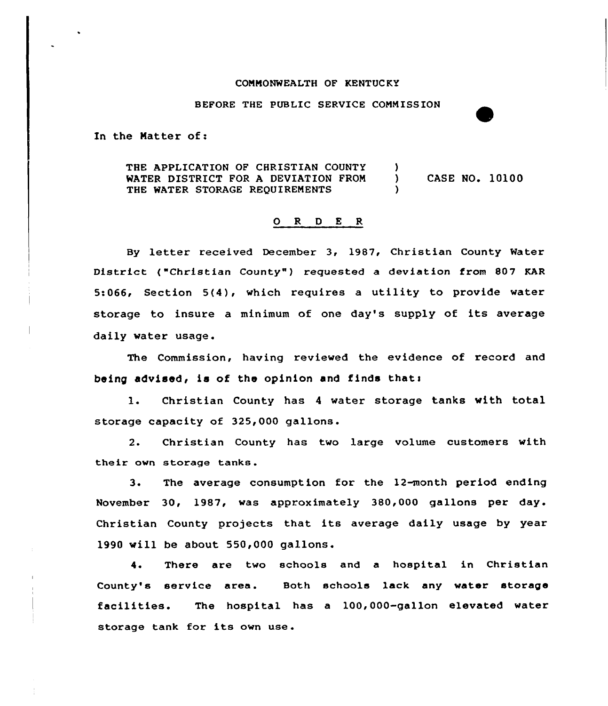## COMMONWEALTH OF KENTUC KY

BEFORE THE PUBLIC SERVICE COMMISSION

In the Natter of:

THE APPLICATION OF CHRISTIAN COUNTY )<br>WATER DISTRICT FOR A DEVIATION FROM ) WATER DISTRICT FOR <sup>A</sup> DEVIATION FROM ) CASE NO. 10100 THE WATER STORAGE REQUIREMENTS

## O R D E R

By letter received December 3, 1987, Christian County Water District ( "Christian County" ) requested a deviation from 807 KAR 5:066, Section 5(4), which requires <sup>a</sup> utility to provide water storage to insure <sup>a</sup> minimum of one day's supply of its average daily water usage.

The Commission, having reviewed the evidence of record and being advised, is of the opinion and finds that:

1. Christian County has <sup>4</sup> water storage tanks with total storage capacity of 325,000 gallons.

2. Christian County has two large volume customers with their own storage tanks.

3. The average consumption for the 12month period ending November 30, 1987, was approximately 380,000 gallons per day. Christian County projects that its average daily usage by year 1990 will be about 550,000 gallons.

4. There are two schools and a hospital in Christian County's service area. Both schools lack any water storage facilities. The hospital has <sup>a</sup> 100,000-gallon elevated water storage tank for its own use .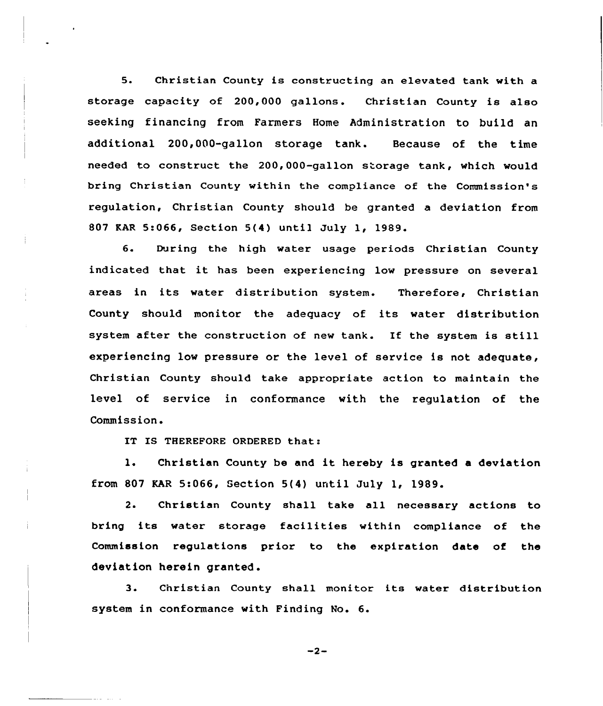5. Christian County is constructing an elevated tank with a storage capacity of 200,000 gallans. Christian County is also seeking financing from Farmers Home Administration to build an additional 200,000-gallon storage tank. Because of the time needed to construct the 200,000-gallon storage tank, which would bring Christian County within the compliance of the Commission's regulation, Christian County should be granted a deviation from 807 KAR 5:066, Section 5(4) until July 1, 1989.

6. During the high water usage periods Christian County indicated that it has been experiencing low pressure on several areas in its water distribution system. Therefore, Christian County should monitor the adequacy of its water distribution system after the construction of new tank. If the system is still experiencing low pressure or the level of service is not adequate, Christian County should take appropriate action to maintain the level of service in conformance with the regulation of the Commission.

IT IS THEREFORE ORDERED that:

1. Christian County be and it hereby is granted <sup>a</sup> deviation from 807 KAR 5:066, Section 5(4) until July 1, 1989.

2. Christian County shall take all necessary actions to bring its water storage facilities within compliance of the Commission regulations prior to the expiration date of the deviation herein granted .

3. Christian County shall monitor its water distribution system in conformance with Finding No. 6.

 $-2-$